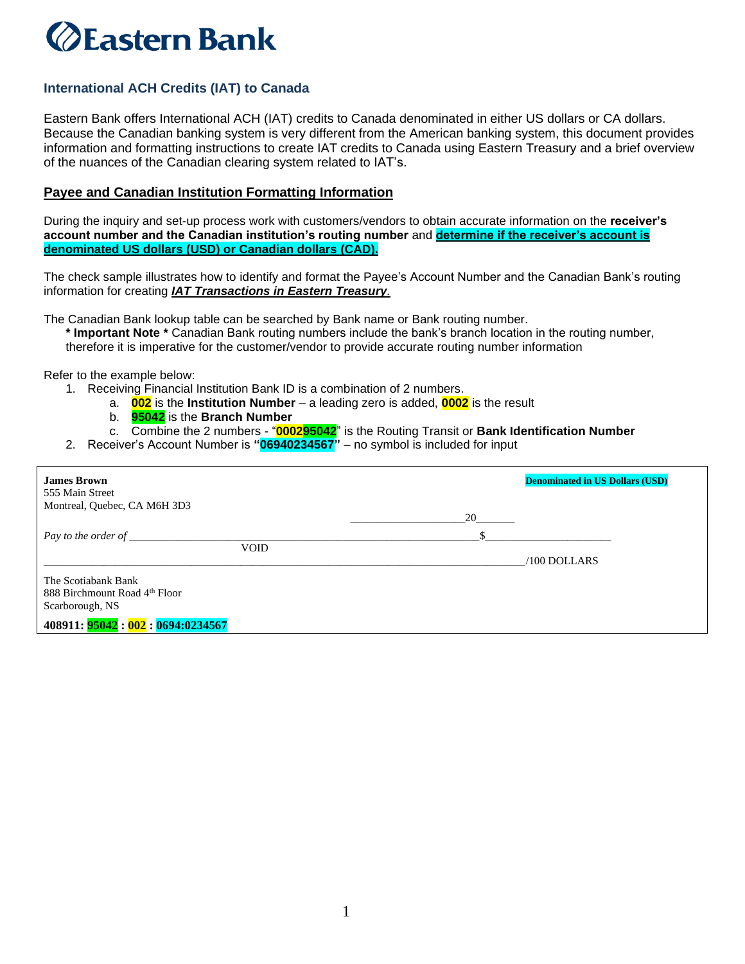## **ZEastern Bank**

## **International ACH Credits (IAT) to Canada**

Eastern Bank offers International ACH (IAT) credits to Canada denominated in either US dollars or CA dollars. Because the Canadian banking system is very different from the American banking system, this document provides information and formatting instructions to create IAT credits to Canada using Eastern Treasury and a brief overview of the nuances of the Canadian clearing system related to IAT's.

## **Payee and Canadian Institution Formatting Information**

During the inquiry and set-up process work with customers/vendors to obtain accurate information on the **receiver's account number and the Canadian institution's routing number** and **determine if the receiver's account is denominated US dollars (USD) or Canadian dollars (CAD).** 

The check sample illustrates how to identify and format the Payee's Account Number and the Canadian Bank's routing information for creating *IAT Transactions in Eastern Treasury.*

The Canadian Bank lookup table can be searched by Bank name or Bank routing number.

**\* Important Note \*** Canadian Bank routing numbers include the bank's branch location in the routing number, therefore it is imperative for the customer/vendor to provide accurate routing number information

Refer to the example below:

- 1. Receiving Financial Institution Bank ID is a combination of 2 numbers.
	- a. **002** is the **Institution Number** a leading zero is added, **0002** is the result
	- b. **95042** is the **Branch Number**
	- c. Combine the 2 numbers "**000295042**" is the Routing Transit or **Bank Identification Number**
- 2. Receiver's Account Number is **"06940234567"** no symbol is included for input

| <b>James Brown</b><br>555 Main Street | <b>Denominated in US Dollars (USD)</b> |
|---------------------------------------|----------------------------------------|
| Montreal, Quebec, CA M6H 3D3          |                                        |
|                                       |                                        |
|                                       |                                        |
| <b>VOID</b>                           |                                        |
|                                       | $/100$ DOLLARS                         |
| The Scotiabank Bank                   |                                        |
| 888 Birchmount Road 4th Floor         |                                        |
| Scarborough, NS                       |                                        |
| 408911: 95042: 002: 0694:0234567      |                                        |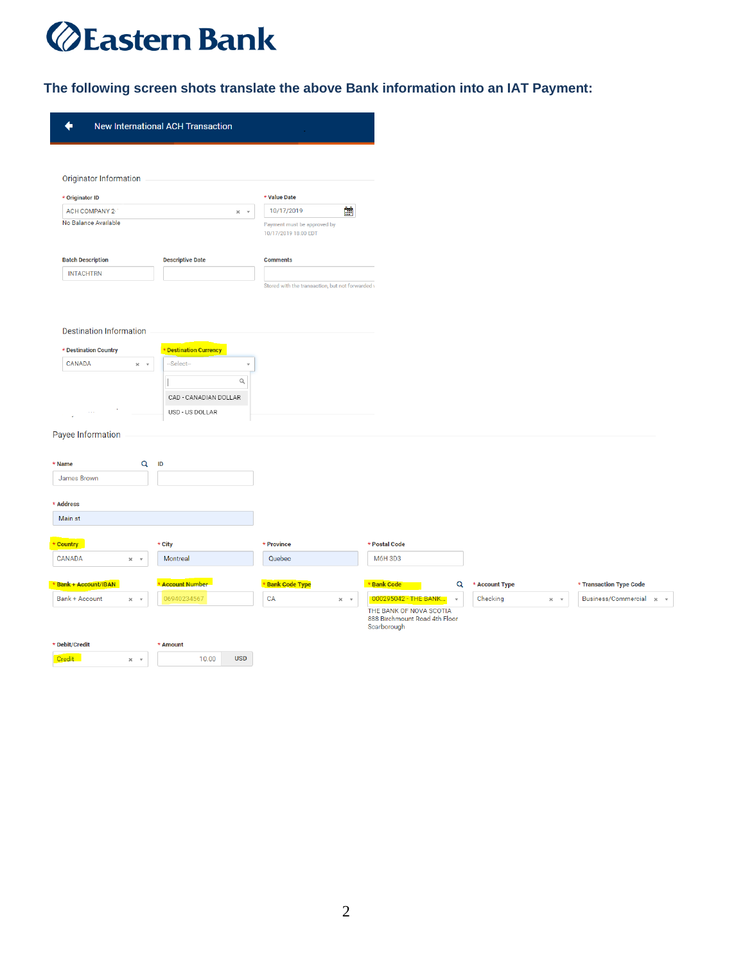## *<u>@Eastern Bank</u>*

**The following screen shots translate the above Bank information into an IAT Payment:**

| <b>Originator Information</b>                                                   |                         |                    |                                                     |                          |                                                                         |              |                |                    |                         |
|---------------------------------------------------------------------------------|-------------------------|--------------------|-----------------------------------------------------|--------------------------|-------------------------------------------------------------------------|--------------|----------------|--------------------|-------------------------|
| * Originator ID                                                                 |                         |                    | * Value Date                                        |                          |                                                                         |              |                |                    |                         |
| ACH COMPANY 2-                                                                  |                         | $\times$ $ \times$ | 10/17/2019                                          | ΔÎ,                      |                                                                         |              |                |                    |                         |
| No Balance Available                                                            |                         |                    | Payment must be approved by<br>10/17/2019 18:00 EDT |                          |                                                                         |              |                |                    |                         |
| <b>Batch Description</b>                                                        | <b>Descriptive Date</b> |                    | <b>Comments</b>                                     |                          |                                                                         |              |                |                    |                         |
| <b>INTACHTRN</b>                                                                |                         |                    |                                                     |                          |                                                                         |              |                |                    |                         |
|                                                                                 |                         |                    | Stored with the transaction, but not forwarded \    |                          |                                                                         |              |                |                    |                         |
| <b>Destination Information</b>                                                  |                         |                    |                                                     |                          |                                                                         |              |                |                    |                         |
| * Destination Country                                                           | * Destination Currency  |                    |                                                     |                          |                                                                         |              |                |                    |                         |
| CANADA<br>$\times$ $ \times$                                                    | -Select-                |                    |                                                     |                          |                                                                         |              |                |                    |                         |
|                                                                                 |                         | $\alpha$           |                                                     |                          |                                                                         |              |                |                    |                         |
|                                                                                 |                         |                    |                                                     |                          |                                                                         |              |                |                    |                         |
|                                                                                 | CAD - CANADIAN DOLLAR   |                    |                                                     |                          |                                                                         |              |                |                    |                         |
|                                                                                 | USD - US DOLLAR         |                    |                                                     |                          |                                                                         |              |                |                    |                         |
|                                                                                 |                         |                    |                                                     |                          |                                                                         |              |                |                    |                         |
|                                                                                 |                         |                    |                                                     |                          |                                                                         |              |                |                    |                         |
|                                                                                 | Q<br>ID                 |                    |                                                     |                          |                                                                         |              |                |                    |                         |
|                                                                                 |                         |                    |                                                     |                          |                                                                         |              |                |                    |                         |
|                                                                                 |                         |                    |                                                     |                          |                                                                         |              |                |                    |                         |
|                                                                                 |                         |                    |                                                     |                          |                                                                         |              |                |                    |                         |
|                                                                                 |                         |                    |                                                     |                          |                                                                         |              |                |                    |                         |
| Payee Information<br>* Name<br>James Brown<br>* Address<br>Main st<br>* Country | * City                  |                    | * Province                                          |                          | * Postal Code                                                           |              |                |                    |                         |
| CANADA<br>$\times$ $ \times$                                                    | Montreal                |                    | Quebec                                              |                          | M6H 3D3                                                                 |              |                |                    |                         |
|                                                                                 | * Account Number        |                    | * Bank Code Type                                    |                          | * Bank Code                                                             | Q            | * Account Type |                    | * Transaction Type Code |
| * Bank + Account/IBAN<br><b>Bank + Account</b><br>$\times$ $ \times$            | 06940234567             |                    | CA                                                  | $\times$ $^{-}$ $\times$ | 000295042 - THE BANK                                                    | $\mathbf{v}$ | Checking       | $\times$ $ \times$ | Business/Commercial x v |
|                                                                                 |                         |                    |                                                     |                          | THE BANK OF NOVA SCOTIA<br>888 Birchmount Road 4th Floor<br>Scarborough |              |                |                    |                         |
| * Debit/Credit                                                                  | * Amount                |                    |                                                     |                          |                                                                         |              |                |                    |                         |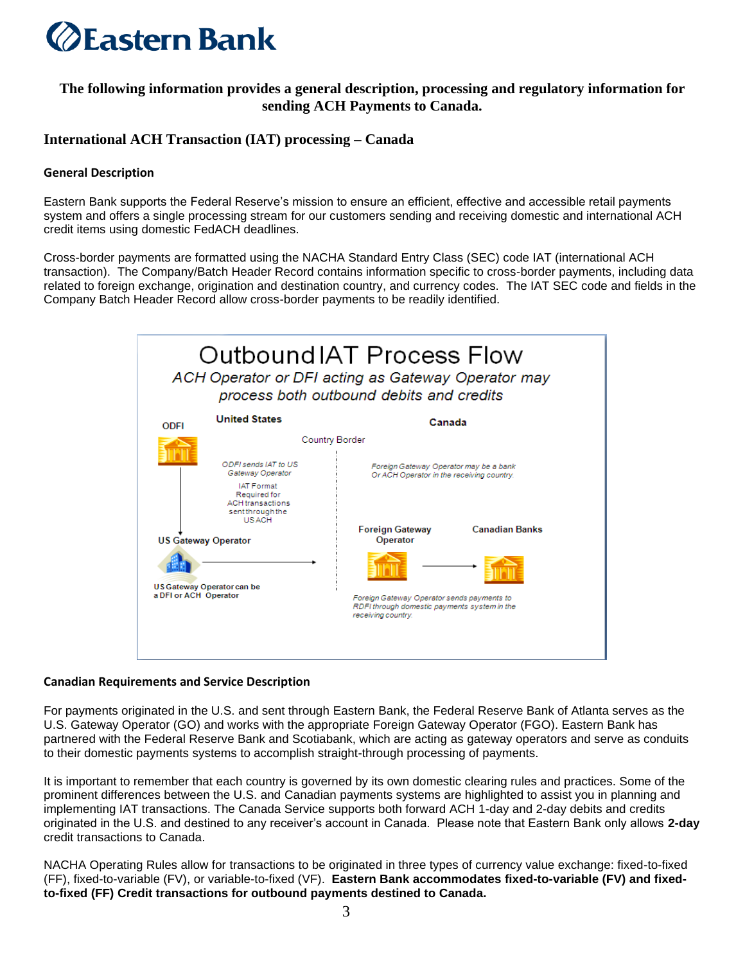

## **The following information provides a general description, processing and regulatory information for sending ACH Payments to Canada.**

## **International ACH Transaction (IAT) processing – Canada**

#### **General Description**

Eastern Bank supports the Federal Reserve's mission to ensure an efficient, effective and accessible retail payments system and offers a single processing stream for our customers sending and receiving domestic and international ACH credit items using domestic FedACH deadlines.

Cross-border payments are formatted using the NACHA Standard Entry Class (SEC) code IAT (international ACH transaction). The Company/Batch Header Record contains information specific to cross-border payments, including data related to foreign exchange, origination and destination country, and currency codes. The IAT SEC code and fields in the Company Batch Header Record allow cross-border payments to be readily identified.



#### **Canadian Requirements and Service Description**

For payments originated in the U.S. and sent through Eastern Bank, the Federal Reserve Bank of Atlanta serves as the U.S. Gateway Operator (GO) and works with the appropriate Foreign Gateway Operator (FGO). Eastern Bank has partnered with the Federal Reserve Bank and Scotiabank, which are acting as gateway operators and serve as conduits to their domestic payments systems to accomplish straight-through processing of payments.

It is important to remember that each country is governed by its own domestic clearing rules and practices. Some of the prominent differences between the U.S. and Canadian payments systems are highlighted to assist you in planning and implementing IAT transactions. The Canada Service supports both forward ACH 1-day and 2-day debits and credits originated in the U.S. and destined to any receiver's account in Canada. Please note that Eastern Bank only allows **2-day** credit transactions to Canada.

NACHA Operating Rules allow for transactions to be originated in three types of currency value exchange: fixed-to-fixed (FF), fixed-to-variable (FV), or variable-to-fixed (VF). **Eastern Bank accommodates fixed-to-variable (FV) and fixedto-fixed (FF) Credit transactions for outbound payments destined to Canada.**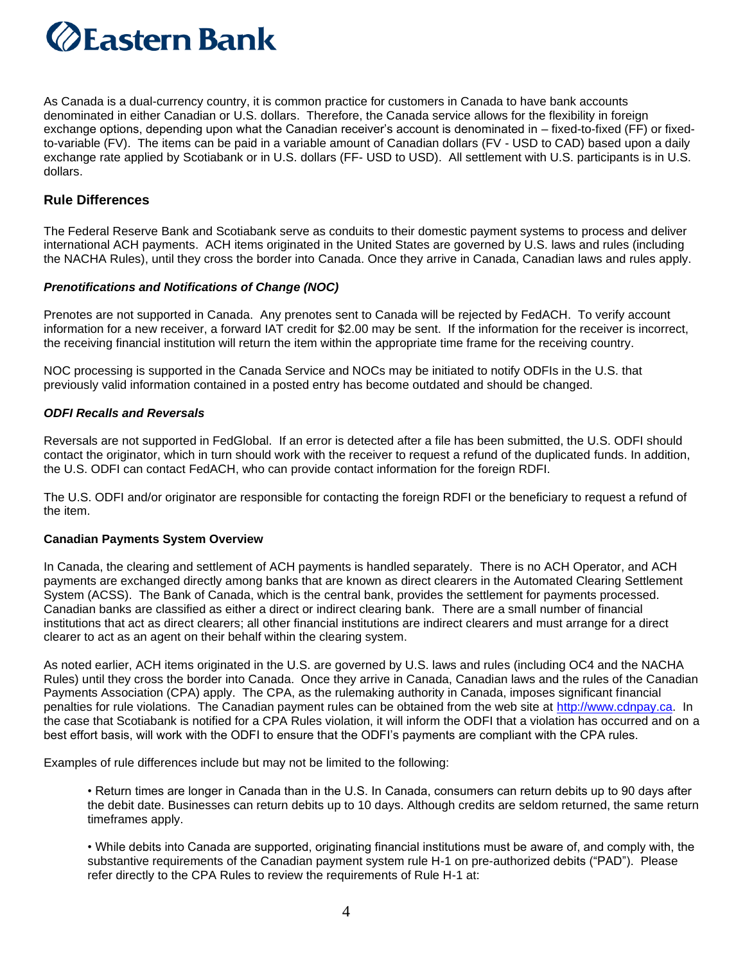

As Canada is a dual-currency country, it is common practice for customers in Canada to have bank accounts denominated in either Canadian or U.S. dollars. Therefore, the Canada service allows for the flexibility in foreign exchange options, depending upon what the Canadian receiver's account is denominated in – fixed-to-fixed (FF) or fixedto-variable (FV). The items can be paid in a variable amount of Canadian dollars (FV - USD to CAD) based upon a daily exchange rate applied by Scotiabank or in U.S. dollars (FF- USD to USD). All settlement with U.S. participants is in U.S. dollars.

### **Rule Differences**

The Federal Reserve Bank and Scotiabank serve as conduits to their domestic payment systems to process and deliver international ACH payments. ACH items originated in the United States are governed by U.S. laws and rules (including the NACHA Rules), until they cross the border into Canada. Once they arrive in Canada, Canadian laws and rules apply.

#### *Prenotifications and Notifications of Change (NOC)*

Prenotes are not supported in Canada. Any prenotes sent to Canada will be rejected by FedACH. To verify account information for a new receiver, a forward IAT credit for \$2.00 may be sent. If the information for the receiver is incorrect, the receiving financial institution will return the item within the appropriate time frame for the receiving country.

NOC processing is supported in the Canada Service and NOCs may be initiated to notify ODFIs in the U.S. that previously valid information contained in a posted entry has become outdated and should be changed.

#### *ODFI Recalls and Reversals*

Reversals are not supported in FedGlobal. If an error is detected after a file has been submitted, the U.S. ODFI should contact the originator, which in turn should work with the receiver to request a refund of the duplicated funds. In addition, the U.S. ODFI can contact FedACH, who can provide contact information for the foreign RDFI.

The U.S. ODFI and/or originator are responsible for contacting the foreign RDFI or the beneficiary to request a refund of the item.

#### **Canadian Payments System Overview**

In Canada, the clearing and settlement of ACH payments is handled separately. There is no ACH Operator, and ACH payments are exchanged directly among banks that are known as direct clearers in the Automated Clearing Settlement System (ACSS). The Bank of Canada, which is the central bank, provides the settlement for payments processed. Canadian banks are classified as either a direct or indirect clearing bank. There are a small number of financial institutions that act as direct clearers; all other financial institutions are indirect clearers and must arrange for a direct clearer to act as an agent on their behalf within the clearing system.

As noted earlier, ACH items originated in the U.S. are governed by U.S. laws and rules (including OC4 and the NACHA Rules) until they cross the border into Canada. Once they arrive in Canada, Canadian laws and the rules of the Canadian Payments Association (CPA) apply. The CPA, as the rulemaking authority in Canada, imposes significant financial penalties for rule violations. The Canadian payment rules can be obtained from the web site at [http://www.cdnpay.ca.](http://www.cdnpay.ca/) In the case that Scotiabank is notified for a CPA Rules violation, it will inform the ODFI that a violation has occurred and on a best effort basis, will work with the ODFI to ensure that the ODFI's payments are compliant with the CPA rules.

Examples of rule differences include but may not be limited to the following:

• Return times are longer in Canada than in the U.S. In Canada, consumers can return debits up to 90 days after the debit date. Businesses can return debits up to 10 days. Although credits are seldom returned, the same return timeframes apply.

• While debits into Canada are supported, originating financial institutions must be aware of, and comply with, the substantive requirements of the Canadian payment system rule H-1 on pre-authorized debits ("PAD"). Please refer directly to the CPA Rules to review the requirements of Rule H-1 at: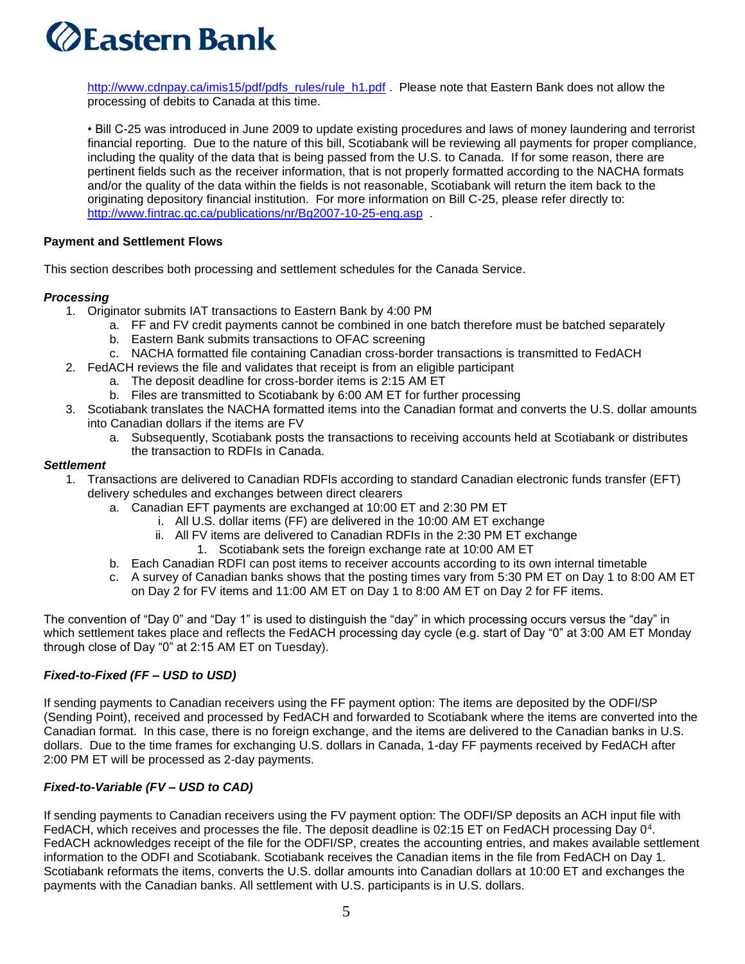# *<b>ZEastern Bank*

[http://www.cdnpay.ca/imis15/pdf/pdfs\\_rules/rule\\_h1.pdf](http://www.cdnpay.ca/imis15/pdf/pdfs_rules/rule_h1.pdf) . Please note that Eastern Bank does not allow the processing of debits to Canada at this time.

• Bill C-25 was introduced in June 2009 to update existing procedures and laws of money laundering and terrorist financial reporting. Due to the nature of this bill, Scotiabank will be reviewing all payments for proper compliance, including the quality of the data that is being passed from the U.S. to Canada. If for some reason, there are pertinent fields such as the receiver information, that is not properly formatted according to the NACHA formats and/or the quality of the data within the fields is not reasonable, Scotiabank will return the item back to the originating depository financial institution. For more information on Bill C-25, please refer directly to: http://www.fintrac.gc.ca/publications/nr/Bg2007-10-25-eng.asp

## **Payment and Settlement Flows**

This section describes both processing and settlement schedules for the Canada Service.

## *Processing*

- 1. Originator submits IAT transactions to Eastern Bank by 4:00 PM
	- a. FF and FV credit payments cannot be combined in one batch therefore must be batched separately
		- b. Eastern Bank submits transactions to OFAC screening
		- c. NACHA formatted file containing Canadian cross-border transactions is transmitted to FedACH
- 2. FedACH reviews the file and validates that receipt is from an eligible participant
	- a. The deposit deadline for cross-border items is 2:15 AM ET
	- b. Files are transmitted to Scotiabank by 6:00 AM ET for further processing
- 3. Scotiabank translates the NACHA formatted items into the Canadian format and converts the U.S. dollar amounts into Canadian dollars if the items are FV
	- a. Subsequently, Scotiabank posts the transactions to receiving accounts held at Scotiabank or distributes the transaction to RDFIs in Canada.

### *Settlement*

- 1. Transactions are delivered to Canadian RDFIs according to standard Canadian electronic funds transfer (EFT) delivery schedules and exchanges between direct clearers
	- a. Canadian EFT payments are exchanged at 10:00 ET and 2:30 PM ET
		- i. All U.S. dollar items (FF) are delivered in the 10:00 AM ET exchange
		- ii. All FV items are delivered to Canadian RDFIs in the 2:30 PM ET exchange
			- 1. Scotiabank sets the foreign exchange rate at 10:00 AM ET
	- b. Each Canadian RDFI can post items to receiver accounts according to its own internal timetable
	- c. A survey of Canadian banks shows that the posting times vary from 5:30 PM ET on Day 1 to 8:00 AM ET on Day 2 for FV items and 11:00 AM ET on Day 1 to 8:00 AM ET on Day 2 for FF items.

The convention of "Day 0" and "Day 1" is used to distinguish the "day" in which processing occurs versus the "day" in which settlement takes place and reflects the FedACH processing day cycle (e.g. start of Day "0" at 3:00 AM ET Monday through close of Day "0" at 2:15 AM ET on Tuesday).

## *Fixed-to-Fixed (FF – USD to USD)*

If sending payments to Canadian receivers using the FF payment option: The items are deposited by the ODFI/SP (Sending Point), received and processed by FedACH and forwarded to Scotiabank where the items are converted into the Canadian format. In this case, there is no foreign exchange, and the items are delivered to the Canadian banks in U.S. dollars. Due to the time frames for exchanging U.S. dollars in Canada, 1-day FF payments received by FedACH after 2:00 PM ET will be processed as 2-day payments.

## *Fixed-to-Variable (FV – USD to CAD)*

If sending payments to Canadian receivers using the FV payment option: The ODFI/SP deposits an ACH input file with FedACH, which receives and processes the file. The deposit deadline is 02:15 ET on FedACH processing Day 0<sup>4</sup>. FedACH acknowledges receipt of the file for the ODFI/SP, creates the accounting entries, and makes available settlement information to the ODFI and Scotiabank. Scotiabank receives the Canadian items in the file from FedACH on Day 1. Scotiabank reformats the items, converts the U.S. dollar amounts into Canadian dollars at 10:00 ET and exchanges the payments with the Canadian banks. All settlement with U.S. participants is in U.S. dollars.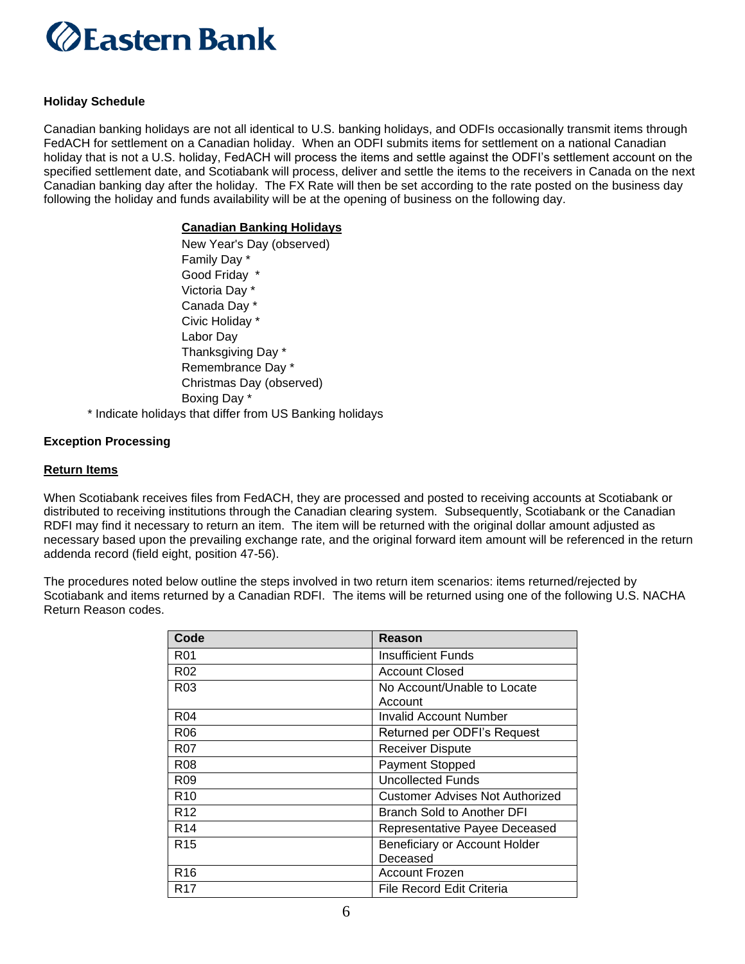

#### **Holiday Schedule**

Canadian banking holidays are not all identical to U.S. banking holidays, and ODFIs occasionally transmit items through FedACH for settlement on a Canadian holiday. When an ODFI submits items for settlement on a national Canadian holiday that is not a U.S. holiday, FedACH will process the items and settle against the ODFI's settlement account on the specified settlement date, and Scotiabank will process, deliver and settle the items to the receivers in Canada on the next Canadian banking day after the holiday. The FX Rate will then be set according to the rate posted on the business day following the holiday and funds availability will be at the opening of business on the following day.

#### **Canadian Banking Holidays**

New Year's Day (observed) Family Day \* Good Friday \* Victoria Day \* Canada Day \* Civic Holiday \* Labor Day Thanksgiving Day \* Remembrance Day \* Christmas Day (observed) Boxing Day \* \* Indicate holidays that differ from US Banking holidays

#### **Exception Processing**

#### **Return Items**

When Scotiabank receives files from FedACH, they are processed and posted to receiving accounts at Scotiabank or distributed to receiving institutions through the Canadian clearing system. Subsequently, Scotiabank or the Canadian RDFI may find it necessary to return an item. The item will be returned with the original dollar amount adjusted as necessary based upon the prevailing exchange rate, and the original forward item amount will be referenced in the return addenda record (field eight, position 47-56).

The procedures noted below outline the steps involved in two return item scenarios: items returned/rejected by Scotiabank and items returned by a Canadian RDFI. The items will be returned using one of the following U.S. NACHA Return Reason codes.

| Code             | Reason                                    |
|------------------|-------------------------------------------|
| R <sub>01</sub>  | <b>Insufficient Funds</b>                 |
| R02              | <b>Account Closed</b>                     |
| R <sub>0</sub> 3 | No Account/Unable to Locate<br>Account    |
| R <sub>04</sub>  | Invalid Account Number                    |
| R06              | Returned per ODFI's Request               |
| R07              | <b>Receiver Dispute</b>                   |
| R <sub>08</sub>  | <b>Payment Stopped</b>                    |
| R <sub>09</sub>  | <b>Uncollected Funds</b>                  |
| R <sub>10</sub>  | Customer Advises Not Authorized           |
| R <sub>12</sub>  | Branch Sold to Another DFI                |
| R <sub>14</sub>  | Representative Payee Deceased             |
| R <sub>15</sub>  | Beneficiary or Account Holder<br>Deceased |
| R <sub>16</sub>  | <b>Account Frozen</b>                     |
| R17              | File Record Edit Criteria                 |